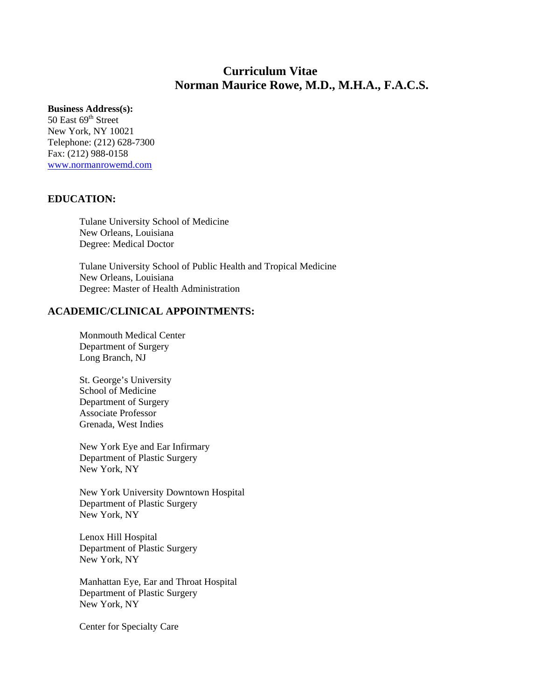# **Curriculum Vitae Norman Maurice Rowe, M.D., M.H.A., F.A.C.S.**

#### **Business Address(s):**

50 East 69<sup>th</sup> Street New York, NY 10021 Telephone: (212) 628-7300 Fax: (212) 988-0158 www.normanrowemd.com

## **EDUCATION:**

Tulane University School of Medicine New Orleans, Louisiana Degree: Medical Doctor

Tulane University School of Public Health and Tropical Medicine New Orleans, Louisiana Degree: Master of Health Administration

## **ACADEMIC/CLINICAL APPOINTMENTS:**

Monmouth Medical Center Department of Surgery Long Branch, NJ

St. George's University School of Medicine Department of Surgery Associate Professor Grenada, West Indies

New York Eye and Ear Infirmary Department of Plastic Surgery New York, NY

New York University Downtown Hospital Department of Plastic Surgery New York, NY

Lenox Hill Hospital Department of Plastic Surgery New York, NY

Manhattan Eye, Ear and Throat Hospital Department of Plastic Surgery New York, NY

Center for Specialty Care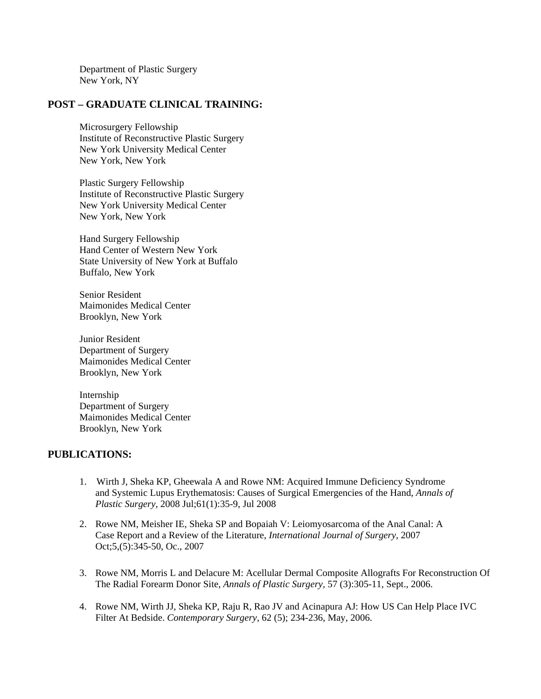Department of Plastic Surgery New York, NY

## **POST – GRADUATE CLINICAL TRAINING:**

Microsurgery Fellowship Institute of Reconstructive Plastic Surgery New York University Medical Center New York, New York

Plastic Surgery Fellowship Institute of Reconstructive Plastic Surgery New York University Medical Center New York, New York

Hand Surgery Fellowship Hand Center of Western New York State University of New York at Buffalo Buffalo, New York

Senior Resident Maimonides Medical Center Brooklyn, New York

Junior Resident Department of Surgery Maimonides Medical Center Brooklyn, New York

Internship Department of Surgery Maimonides Medical Center Brooklyn, New York

#### **PUBLICATIONS:**

- 1. Wirth J, Sheka KP, Gheewala A and Rowe NM: Acquired Immune Deficiency Syndrome and Systemic Lupus Erythematosis: Causes of Surgical Emergencies of the Hand, *Annals of Plastic Surgery*, 2008 Jul;61(1):35-9, Jul 2008
- 2. Rowe NM, Meisher IE, Sheka SP and Bopaiah V: Leiomyosarcoma of the Anal Canal: A Case Report and a Review of the Literature, *International Journal of Surgery*, 2007 Oct;5,(5):345-50, Oc., 2007
- 3. Rowe NM, Morris L and Delacure M: Acellular Dermal Composite Allografts For Reconstruction Of The Radial Forearm Donor Site, *Annals of Plastic Surgery,* 57 (3):305-11, Sept., 2006.
- 4. Rowe NM, Wirth JJ, Sheka KP, Raju R, Rao JV and Acinapura AJ: How US Can Help Place IVC Filter At Bedside. *Contemporary Surgery*, 62 (5); 234-236, May, 2006.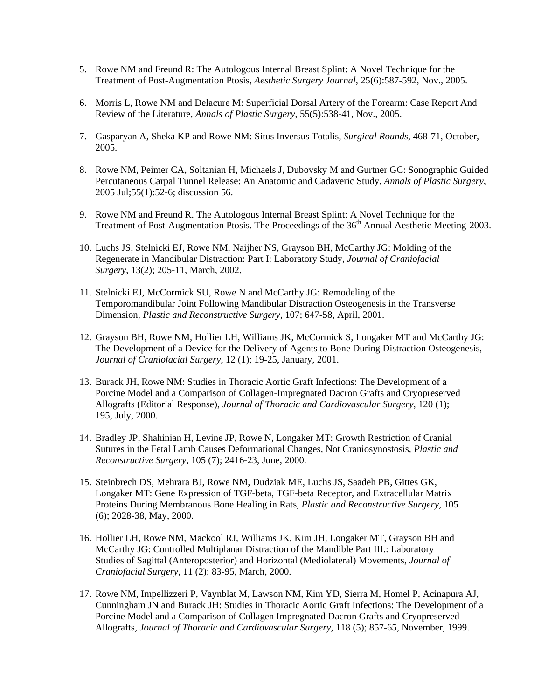- 5. Rowe NM and Freund R: The Autologous Internal Breast Splint: A Novel Technique for the Treatment of Post-Augmentation Ptosis, *Aesthetic Surgery Journal*, 25(6):587-592, Nov., 2005.
- 6. Morris L, Rowe NM and Delacure M: Superficial Dorsal Artery of the Forearm: Case Report And Review of the Literature, *Annals of Plastic Surgery*, 55(5):538-41, Nov., 2005.
- 7. Gasparyan A, Sheka KP and Rowe NM: Situs Inversus Totalis, *Surgical Rounds*, 468-71, October, 2005.
- 8. Rowe NM, Peimer CA, Soltanian H, Michaels J, Dubovsky M and Gurtner GC: Sonographic Guided Percutaneous Carpal Tunnel Release: An Anatomic and Cadaveric Study, *Annals of Plastic Surgery*, 2005 Jul;55(1):52-6; discussion 56.
- 9. Rowe NM and Freund R. The Autologous Internal Breast Splint: A Novel Technique for the Treatment of Post-Augmentation Ptosis. The Proceedings of the 36<sup>th</sup> Annual Aesthetic Meeting-2003.
- 10. Luchs JS, Stelnicki EJ, Rowe NM, Naijher NS, Grayson BH, McCarthy JG: Molding of the Regenerate in Mandibular Distraction: Part I: Laboratory Study, *Journal of Craniofacial Surgery*, 13(2); 205-11, March, 2002.
- 11. Stelnicki EJ, McCormick SU, Rowe N and McCarthy JG: Remodeling of the Temporomandibular Joint Following Mandibular Distraction Osteogenesis in the Transverse Dimension, *Plastic and Reconstructive Surgery*, 107; 647-58, April, 2001.
- 12. Grayson BH, Rowe NM, Hollier LH, Williams JK, McCormick S, Longaker MT and McCarthy JG: The Development of a Device for the Delivery of Agents to Bone During Distraction Osteogenesis, *Journal of Craniofacial Surgery*, 12 (1); 19-25, January, 2001.
- 13. Burack JH, Rowe NM: Studies in Thoracic Aortic Graft Infections: The Development of a Porcine Model and a Comparison of Collagen-Impregnated Dacron Grafts and Cryopreserved Allografts (Editorial Response), *Journal of Thoracic and Cardiovascular Surgery*, 120 (1); 195, July, 2000.
- 14. Bradley JP, Shahinian H, Levine JP, Rowe N, Longaker MT: Growth Restriction of Cranial Sutures in the Fetal Lamb Causes Deformational Changes, Not Craniosynostosis, *Plastic and Reconstructive Surgery*, 105 (7); 2416-23, June, 2000.
- 15. Steinbrech DS, Mehrara BJ, Rowe NM, Dudziak ME, Luchs JS, Saadeh PB, Gittes GK, Longaker MT: Gene Expression of TGF-beta, TGF-beta Receptor, and Extracellular Matrix Proteins During Membranous Bone Healing in Rats, *Plastic and Reconstructive Surgery*, 105 (6); 2028-38, May, 2000.
- 16. Hollier LH, Rowe NM, Mackool RJ, Williams JK, Kim JH, Longaker MT, Grayson BH and McCarthy JG: Controlled Multiplanar Distraction of the Mandible Part III.: Laboratory Studies of Sagittal (Anteroposterior) and Horizontal (Mediolateral) Movements, *Journal of Craniofacial Surgery*, 11 (2); 83-95, March, 2000.
- 17. Rowe NM, Impellizzeri P, Vaynblat M, Lawson NM, Kim YD, Sierra M, Homel P, Acinapura AJ, Cunningham JN and Burack JH: Studies in Thoracic Aortic Graft Infections: The Development of a Porcine Model and a Comparison of Collagen Impregnated Dacron Grafts and Cryopreserved Allografts, *Journal of Thoracic and Cardiovascular Surgery*, 118 (5); 857-65, November, 1999.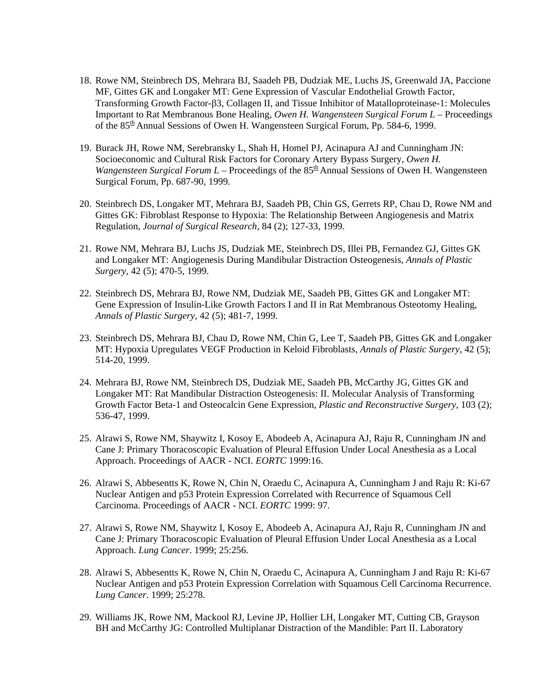- 18. Rowe NM, Steinbrech DS, Mehrara BJ, Saadeh PB, Dudziak ME, Luchs JS, Greenwald JA, Paccione MF, Gittes GK and Longaker MT: Gene Expression of Vascular Endothelial Growth Factor, Transforming Growth Factor-β3, Collagen II, and Tissue Inhibitor of Matalloproteinase-1: Molecules Important to Rat Membranous Bone Healing, *Owen H. Wangensteen Surgical Forum L* – Proceedings of the 85<sup>th</sup> Annual Sessions of Owen H. Wangensteen Surgical Forum, Pp. 584-6, 1999.
- 19. Burack JH, Rowe NM, Serebransky L, Shah H, Homel PJ, Acinapura AJ and Cunningham JN: Socioeconomic and Cultural Risk Factors for Coronary Artery Bypass Surgery, *Owen H. Wangensteen Surgical Forum L* – Proceedings of the  $85<sup>th</sup>$  Annual Sessions of Owen H. Wangensteen Surgical Forum, Pp. 687-90, 1999.
- 20. Steinbrech DS, Longaker MT, Mehrara BJ, Saadeh PB, Chin GS, Gerrets RP, Chau D, Rowe NM and Gittes GK: Fibroblast Response to Hypoxia: The Relationship Between Angiogenesis and Matrix Regulation, *Journal of Surgical Research*, 84 (2); 127-33, 1999.
- 21. Rowe NM, Mehrara BJ, Luchs JS, Dudziak ME, Steinbrech DS, Illei PB, Fernandez GJ, Gittes GK and Longaker MT: Angiogenesis During Mandibular Distraction Osteogenesis, *Annals of Plastic Surgery*, 42 (5); 470-5, 1999.
- 22. Steinbrech DS, Mehrara BJ, Rowe NM, Dudziak ME, Saadeh PB, Gittes GK and Longaker MT: Gene Expression of Insulin-Like Growth Factors I and II in Rat Membranous Osteotomy Healing, *Annals of Plastic Surgery*, 42 (5); 481-7, 1999.
- 23. Steinbrech DS, Mehrara BJ, Chau D, Rowe NM, Chin G, Lee T, Saadeh PB, Gittes GK and Longaker MT: Hypoxia Upregulates VEGF Production in Keloid Fibroblasts, *Annals of Plastic Surgery*, 42 (5); 514-20, 1999.
- 24. Mehrara BJ, Rowe NM, Steinbrech DS, Dudziak ME, Saadeh PB, McCarthy JG, Gittes GK and Longaker MT: Rat Mandibular Distraction Osteogenesis: II. Molecular Analysis of Transforming Growth Factor Beta-1 and Osteocalcin Gene Expression, *Plastic and Reconstructive Surgery*, 103 (2); 536-47, 1999.
- 25. Alrawi S, Rowe NM, Shaywitz I, Kosoy E, Abodeeb A, Acinapura AJ, Raju R, Cunningham JN and Cane J: Primary Thoracoscopic Evaluation of Pleural Effusion Under Local Anesthesia as a Local Approach. Proceedings of AACR - NCI. *EORTC* 1999:16.
- 26. Alrawi S, Abbesentts K, Rowe N, Chin N, Oraedu C, Acinapura A, Cunningham J and Raju R: Ki-67 Nuclear Antigen and p53 Protein Expression Correlated with Recurrence of Squamous Cell Carcinoma. Proceedings of AACR - NCI. *EORTC* 1999: 97.
- 27. Alrawi S, Rowe NM, Shaywitz I, Kosoy E, Abodeeb A, Acinapura AJ, Raju R, Cunningham JN and Cane J: Primary Thoracoscopic Evaluation of Pleural Effusion Under Local Anesthesia as a Local Approach. *Lung Cancer*. 1999; 25:256.
- 28. Alrawi S, Abbesentts K, Rowe N, Chin N, Oraedu C, Acinapura A, Cunningham J and Raju R: Ki-67 Nuclear Antigen and p53 Protein Expression Correlation with Squamous Cell Carcinoma Recurrence. *Lung Cancer*. 1999; 25:278.
- 29. Williams JK, Rowe NM, Mackool RJ, Levine JP, Hollier LH, Longaker MT, Cutting CB, Grayson BH and McCarthy JG: Controlled Multiplanar Distraction of the Mandible: Part II. Laboratory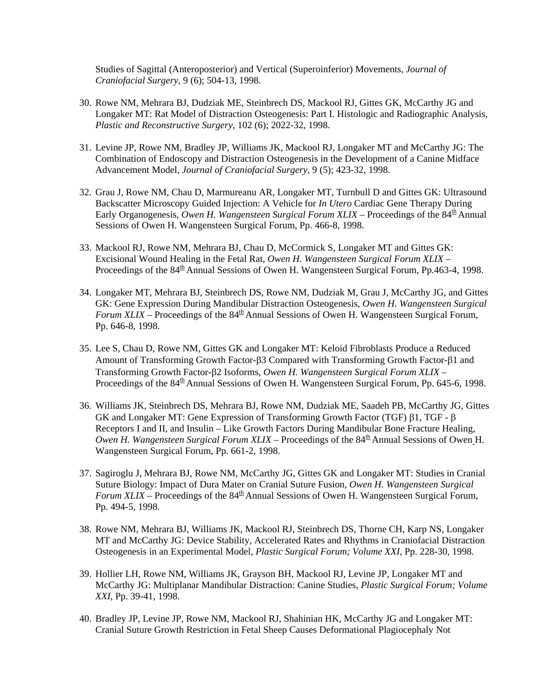Studies of Sagittal (Anteroposterior) and Vertical (Superoinferior) Movements, *Journal of Craniofacial Surgery,* 9 (6); 504-13, 1998.

- 30. Rowe NM, Mehrara BJ, Dudziak ME, Steinbrech DS, Mackool RJ, Gittes GK, McCarthy JG and Longaker MT: Rat Model of Distraction Osteogenesis: Part I. Histologic and Radiographic Analysis, *Plastic and Reconstructive Surgery*, 102 (6); 2022-32, 1998.
- 31. Levine JP, Rowe NM, Bradley JP, Williams JK, Mackool RJ, Longaker MT and McCarthy JG: The Combination of Endoscopy and Distraction Osteogenesis in the Development of a Canine Midface Advancement Model, *Journal of Craniofacial Surgery,* 9 (5); 423-32, 1998.
- 32. Grau J, Rowe NM, Chau D, Marmureanu AR, Longaker MT, Turnbull D and Gittes GK: Ultrasound Backscatter Microscopy Guided Injection: A Vehicle for *In Utero* Cardiac Gene Therapy During Early Organogenesis, *Owen H. Wangensteen Surgical Forum XLIX* – Proceedings of the 84<sup>th</sup> Annual Sessions of Owen H. Wangensteen Surgical Forum, Pp. 466-8, 1998.
- 33. Mackool RJ, Rowe NM, Mehrara BJ, Chau D, McCormick S, Longaker MT and Gittes GK: Excisional Wound Healing in the Fetal Rat, *Owen H. Wangensteen Surgical Forum XLIX* – Proceedings of the 84<sup>th</sup> Annual Sessions of Owen H. Wangensteen Surgical Forum, Pp.463-4, 1998.
- 34. Longaker MT, Mehrara BJ, Steinbrech DS, Rowe NM, Dudziak M, Grau J, McCarthy JG, and Gittes GK: Gene Expression During Mandibular Distraction Osteogenesis, *Owen H. Wangensteen Surgical Forum XLIX* – Proceedings of the  $84<sup>th</sup>$  Annual Sessions of Owen H. Wangensteen Surgical Forum, Pp. 646-8, 1998.
- 35. Lee S, Chau D, Rowe NM, Gittes GK and Longaker MT: Keloid Fibroblasts Produce a Reduced Amount of Transforming Growth Factor-β3 Compared with Transforming Growth Factor-β1 and Transforming Growth Factor-β2 Isoforms, *Owen H. Wangensteen Surgical Forum XLIX* – Proceedings of the 84<sup>th</sup> Annual Sessions of Owen H. Wangensteen Surgical Forum, Pp. 645-6, 1998.
- 36. Williams JK, Steinbrech DS, Mehrara BJ, Rowe NM, Dudziak ME, Saadeh PB, McCarthy JG, Gittes GK and Longaker MT: Gene Expression of Transforming Growth Factor (TGF) β1, TGF - β Receptors I and II, and Insulin – Like Growth Factors During Mandibular Bone Fracture Healing, *Owen H. Wangensteen Surgical Forum XLIX* – Proceedings of the  $84<sup>th</sup>$  Annual Sessions of Owen H. Wangensteen Surgical Forum, Pp. 661-2, 1998.
- 37. Sagiroglu J, Mehrara BJ, Rowe NM, McCarthy JG, Gittes GK and Longaker MT: Studies in Cranial Suture Biology: Impact of Dura Mater on Cranial Suture Fusion, *Owen H. Wangensteen Surgical Forum XLIX* – Proceedings of the 84<sup>th</sup> Annual Sessions of Owen H. Wangensteen Surgical Forum, Pp. 494-5, 1998.
- 38. Rowe NM, Mehrara BJ, Williams JK, Mackool RJ, Steinbrech DS, Thorne CH, Karp NS, Longaker MT and McCarthy JG: Device Stability, Accelerated Rates and Rhythms in Craniofacial Distraction Osteogenesis in an Experimental Model, *Plastic Surgical Forum; Volume XXI*, Pp. 228-30, 1998.
- 39. Hollier LH, Rowe NM, Williams JK, Grayson BH, Mackool RJ, Levine JP, Longaker MT and McCarthy JG: Multiplanar Mandibular Distraction: Canine Studies, *Plastic Surgical Forum; Volume XXI*, Pp. 39-41, 1998.
- 40. Bradley JP, Levine JP, Rowe NM, Mackool RJ, Shahinian HK, McCarthy JG and Longaker MT: Cranial Suture Growth Restriction in Fetal Sheep Causes Deformational Plagiocephaly Not